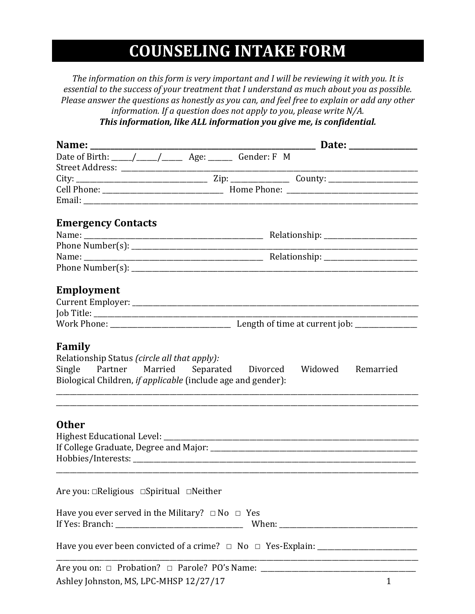# **COUNSELING INTAKE FORM**

The information on this form is very important and I will be reviewing it with you. It is *essential to the success of your treatment that I understand as much about you as possible.* Please answer the questions as honestly as you can, and feel free to explain or add any other *information.* If a question does not apply to you, please write N/A.

This information, like ALL information you give me, is confidential.

|                                                            |  |  |  | Date of Birth: \____/ ____/ _________ Age: ________ Gender: F M                                          |              |
|------------------------------------------------------------|--|--|--|----------------------------------------------------------------------------------------------------------|--------------|
|                                                            |  |  |  |                                                                                                          |              |
|                                                            |  |  |  |                                                                                                          |              |
|                                                            |  |  |  |                                                                                                          |              |
|                                                            |  |  |  |                                                                                                          |              |
| <b>Emergency Contacts</b>                                  |  |  |  |                                                                                                          |              |
|                                                            |  |  |  |                                                                                                          |              |
|                                                            |  |  |  |                                                                                                          |              |
|                                                            |  |  |  |                                                                                                          |              |
|                                                            |  |  |  |                                                                                                          |              |
|                                                            |  |  |  |                                                                                                          |              |
| Employment                                                 |  |  |  |                                                                                                          |              |
|                                                            |  |  |  |                                                                                                          |              |
|                                                            |  |  |  |                                                                                                          |              |
|                                                            |  |  |  |                                                                                                          |              |
|                                                            |  |  |  |                                                                                                          |              |
| <b>Other</b>                                               |  |  |  |                                                                                                          |              |
|                                                            |  |  |  |                                                                                                          |              |
|                                                            |  |  |  |                                                                                                          |              |
|                                                            |  |  |  |                                                                                                          |              |
| Are you: $\Box$ Religious $\Box$ Spiritual $\Box$ Neither  |  |  |  |                                                                                                          |              |
| Have you ever served in the Military? $\Box$ No $\Box$ Yes |  |  |  |                                                                                                          |              |
|                                                            |  |  |  |                                                                                                          |              |
|                                                            |  |  |  | Have you ever been convicted of a crime? $\Box$ No $\Box$ Yes-Explain: _________________________________ |              |
|                                                            |  |  |  | Are you on: □ Probation? □ Parole? PO's Name: ___________________________________                        |              |
| Ashley Johnston, MS, LPC-MHSP 12/27/17                     |  |  |  |                                                                                                          | $\mathbf{1}$ |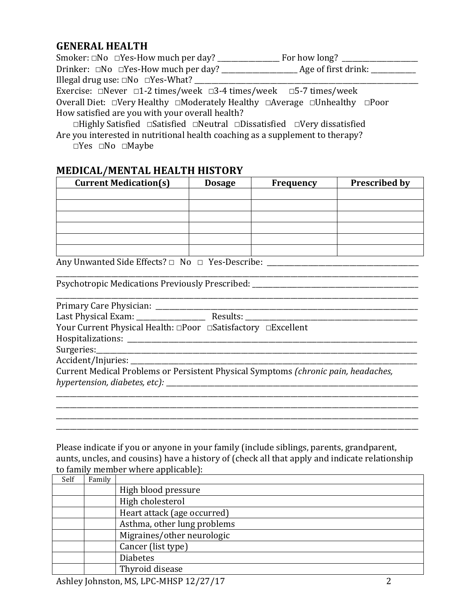#### **GENERAL HEALTH**

| Smoker: $\Box$ No $\Box$ Yes-How much per day? For how long?                             |  |  |  |  |
|------------------------------------------------------------------------------------------|--|--|--|--|
|                                                                                          |  |  |  |  |
| Illegal drug use: $\square$ No $\square$ Yes-What?                                       |  |  |  |  |
| Exercise: $\Box$ Never $\Box$ 1-2 times/week $\Box$ 3-4 times/week $\Box$ 5-7 times/week |  |  |  |  |
| Overall Diet: □Very Healthy □Moderately Healthy □Average □Unhealthy □Poor                |  |  |  |  |
| How satisfied are you with your overall health?                                          |  |  |  |  |
| □Highly Satisfied □Satisfied □Neutral □Dissatisfied □Very dissatisfied                   |  |  |  |  |

Are you interested in nutritional health coaching as a supplement to therapy?  **☐**Yes **☐**No **☐**Maybe

#### **MEDICAL/MENTAL HEALTH HISTORY**

| <b>Current Medication(s)</b> | <b>Dosage</b> | Frequency | <b>Prescribed by</b> |
|------------------------------|---------------|-----------|----------------------|
|                              |               |           |                      |
|                              |               |           |                      |
|                              |               |           |                      |
|                              |               |           |                      |
|                              |               |           |                      |
|                              |               |           |                      |

\_\_\_\_\_\_\_\_\_\_\_\_\_\_\_\_\_\_\_\_\_\_\_\_\_\_\_\_\_\_\_\_\_\_\_\_\_\_\_\_\_\_\_\_\_\_\_\_\_\_\_\_\_\_\_\_\_\_\_\_\_\_\_\_\_\_\_\_\_\_\_\_\_\_\_\_\_\_\_\_\_\_\_\_\_\_\_\_\_\_\_\_\_\_\_\_\_\_\_\_\_\_\_\_\_

\_\_\_\_\_\_\_\_\_\_\_\_\_\_\_\_\_\_\_\_\_\_\_\_\_\_\_\_\_\_\_\_\_\_\_\_\_\_\_\_\_\_\_\_\_\_\_\_\_\_\_\_\_\_\_\_\_\_\_\_\_\_\_\_\_\_\_\_\_\_\_\_\_\_\_\_\_\_\_\_\_\_\_\_\_\_\_\_\_\_\_\_\_\_\_\_\_\_\_\_\_\_\_\_\_

Any Unwanted Side Effects? □ No □ Yes-Describe: \_\_\_\_\_\_\_\_\_\_\_\_\_\_\_\_\_\_\_\_\_\_\_\_\_\_\_\_\_\_\_\_

Psychotropic Medications Previously Prescribed:

Primary Care Physician: \_\_\_\_\_\_\_\_\_\_\_\_\_\_\_\_\_\_\_\_\_\_\_\_\_\_\_\_\_\_\_\_\_\_\_\_\_\_\_\_\_\_\_\_\_\_\_\_\_\_\_\_\_\_\_\_\_\_\_\_\_\_\_\_\_\_\_\_\_\_\_\_\_\_\_\_

Last Physical Exam: \_\_\_\_\_\_\_\_\_\_\_\_\_\_\_\_\_\_\_\_ Results: \_\_\_\_\_\_\_\_\_\_\_\_\_\_\_\_\_\_\_\_\_\_\_\_\_\_\_\_\_\_\_\_\_\_\_\_\_\_\_\_\_\_\_\_\_\_\_\_\_\_ Your Current Physical Health: <del></del>□Poor □Satisfactory □Excellent

Hospitalizations: \_\_\_\_\_\_\_\_\_\_\_\_\_\_\_\_\_\_\_\_\_\_\_\_\_\_\_\_\_\_\_\_\_\_\_\_\_\_\_\_\_\_\_\_\_\_\_\_\_\_\_\_\_\_\_\_\_\_\_\_\_\_\_\_\_\_\_\_\_\_\_\_\_\_\_\_\_\_\_\_\_\_\_\_

Surgeries:

Accident/Injuries:

Current Medical Problems or Persistent Physical Symptoms (*chronic pain, headaches, hypertension, diabetes, etc):* \_\_\_\_\_\_\_\_\_\_\_\_\_\_\_\_\_\_\_\_\_\_\_\_\_\_\_\_\_\_\_\_\_\_\_\_\_\_\_\_\_\_\_\_\_\_\_\_\_\_\_\_\_\_\_\_\_\_\_\_\_\_\_\_\_\_\_\_\_\_\_\_\_

Please indicate if you or anyone in your family (include siblings, parents, grandparent, aunts, uncles, and cousins) have a history of (check all that apply and indicate relationship to family member where applicable):

\_\_\_\_\_\_\_\_\_\_\_\_\_\_\_\_\_\_\_\_\_\_\_\_\_\_\_\_\_\_\_\_\_\_\_\_\_\_\_\_\_\_\_\_\_\_\_\_\_\_\_\_\_\_\_\_\_\_\_\_\_\_\_\_\_\_\_\_\_\_\_\_\_\_\_\_\_\_\_\_\_\_\_\_\_\_\_\_\_\_\_\_\_\_\_\_\_\_\_\_\_\_\_\_\_ \_\_\_\_\_\_\_\_\_\_\_\_\_\_\_\_\_\_\_\_\_\_\_\_\_\_\_\_\_\_\_\_\_\_\_\_\_\_\_\_\_\_\_\_\_\_\_\_\_\_\_\_\_\_\_\_\_\_\_\_\_\_\_\_\_\_\_\_\_\_\_\_\_\_\_\_\_\_\_\_\_\_\_\_\_\_\_\_\_\_\_\_\_\_\_\_\_\_\_\_\_\_\_\_\_ \_\_\_\_\_\_\_\_\_\_\_\_\_\_\_\_\_\_\_\_\_\_\_\_\_\_\_\_\_\_\_\_\_\_\_\_\_\_\_\_\_\_\_\_\_\_\_\_\_\_\_\_\_\_\_\_\_\_\_\_\_\_\_\_\_\_\_\_\_\_\_\_\_\_\_\_\_\_\_\_\_\_\_\_\_\_\_\_\_\_\_\_\_\_\_\_\_\_\_\_\_\_\_\_\_ \_\_\_\_\_\_\_\_\_\_\_\_\_\_\_\_\_\_\_\_\_\_\_\_\_\_\_\_\_\_\_\_\_\_\_\_\_\_\_\_\_\_\_\_\_\_\_\_\_\_\_\_\_\_\_\_\_\_\_\_\_\_\_\_\_\_\_\_\_\_\_\_\_\_\_\_\_\_\_\_\_\_\_\_\_\_\_\_\_\_\_\_\_\_\_\_\_\_\_\_\_\_\_\_\_

| Self | Family |                             |
|------|--------|-----------------------------|
|      |        | High blood pressure         |
|      |        | High cholesterol            |
|      |        | Heart attack (age occurred) |
|      |        | Asthma, other lung problems |
|      |        | Migraines/other neurologic  |
|      |        | Cancer (list type)          |
|      |        | <b>Diabetes</b>             |
|      |        | Thyroid disease             |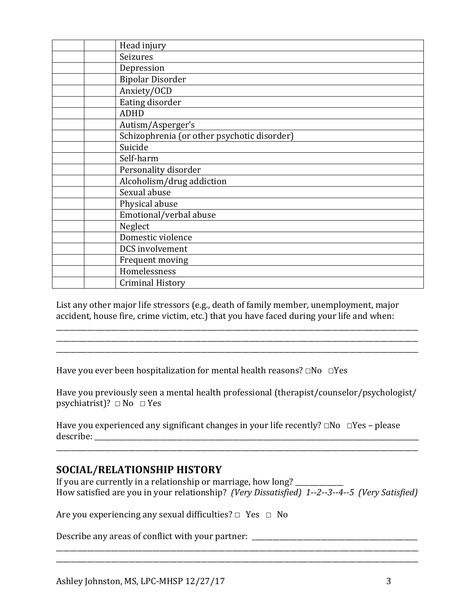| Head injury                                 |
|---------------------------------------------|
| Seizures                                    |
| Depression                                  |
| <b>Bipolar Disorder</b>                     |
| Anxiety/OCD                                 |
| Eating disorder                             |
| <b>ADHD</b>                                 |
| Autism/Asperger's                           |
| Schizophrenia (or other psychotic disorder) |
| Suicide                                     |
| Self-harm                                   |
| Personality disorder                        |
| Alcoholism/drug addiction                   |
| Sexual abuse                                |
| Physical abuse                              |
| Emotional/verbal abuse                      |
| Neglect                                     |
| Domestic violence                           |
| DCS involvement                             |
| Frequent moving                             |
| Homelessness                                |
| <b>Criminal History</b>                     |

List any other major life stressors (e.g., death of family member, unemployment, major accident, house fire, crime victim, etc.) that you have faced during your life and when:

\_\_\_\_\_\_\_\_\_\_\_\_\_\_\_\_\_\_\_\_\_\_\_\_\_\_\_\_\_\_\_\_\_\_\_\_\_\_\_\_\_\_\_\_\_\_\_\_\_\_\_\_\_\_\_\_\_\_\_\_\_\_\_\_\_\_\_\_\_\_\_\_\_\_\_\_\_\_\_\_\_\_\_\_\_\_\_\_\_\_\_\_\_\_\_\_\_\_\_\_\_\_\_\_\_

Have you ever been hospitalization for mental health reasons? □No □Yes

Have you previously seen a mental health professional (therapist/counselor/psychologist/ psychiatrist)?  $\Box$  No  $\Box$  Yes

\_\_\_\_\_\_\_\_\_\_\_\_\_\_\_\_\_\_\_\_\_\_\_\_\_\_\_\_\_\_\_\_\_\_\_\_\_\_\_\_\_\_\_\_\_\_\_\_\_\_\_\_\_\_\_\_\_\_\_\_\_\_\_\_\_\_\_\_\_\_\_\_\_\_\_\_\_\_\_\_\_\_\_\_\_\_\_\_\_\_\_\_\_\_\_\_\_\_\_\_\_\_\_\_\_

Have you experienced any significant changes in your life recently? □No □Yes – please describe: \_\_\_\_\_\_\_\_\_\_\_\_\_\_\_\_\_\_\_\_\_\_\_\_\_\_\_\_\_\_\_\_\_\_\_\_\_\_\_\_\_\_\_\_\_\_\_\_\_\_\_\_\_\_\_\_\_\_\_\_\_\_\_\_\_\_\_\_\_\_\_\_\_\_\_\_\_\_\_\_\_\_\_\_\_\_\_\_\_\_\_\_\_\_

### **SOCIAL/RELATIONSHIP HISTORY**

If you are currently in a relationship or marriage, how long? \_\_\_\_\_\_\_\_\_\_\_\_\_\_\_\_\_\_ How satisfied are you in your relationship? *(Very Dissatisfied)* 1--2--3--4--5 *(Very Satisfied)* 

\_\_\_\_\_\_\_\_\_\_\_\_\_\_\_\_\_\_\_\_\_\_\_\_\_\_\_\_\_\_\_\_\_\_\_\_\_\_\_\_\_\_\_\_\_\_\_\_\_\_\_\_\_\_\_\_\_\_\_\_\_\_\_\_\_\_\_\_\_\_\_\_\_\_\_\_\_\_\_\_\_\_\_\_\_\_\_\_\_\_\_\_\_\_\_\_\_\_\_\_\_\_\_\_\_

\_\_\_\_\_\_\_\_\_\_\_\_\_\_\_\_\_\_\_\_\_\_\_\_\_\_\_\_\_\_\_\_\_\_\_\_\_\_\_\_\_\_\_\_\_\_\_\_\_\_\_\_\_\_\_\_\_\_\_\_\_\_\_\_\_\_\_\_\_\_\_\_\_\_\_\_\_\_\_\_\_\_\_\_\_\_\_\_\_\_\_\_\_\_\_\_\_\_\_\_\_\_\_\_\_

Are you experiencing any sexual difficulties? □ Yes □ No

Describe any areas of conflict with your partner: \_\_\_\_\_\_\_\_\_\_\_\_\_\_\_\_\_\_\_\_\_\_\_\_\_\_\_\_\_\_ \_\_\_\_\_\_\_\_\_\_\_\_\_\_\_\_\_\_\_\_\_\_\_\_\_\_\_\_\_\_\_\_\_\_\_\_\_\_\_\_\_\_\_\_\_\_\_\_\_\_\_\_\_\_\_\_\_\_\_\_\_\_\_\_\_\_\_\_\_\_\_\_\_\_\_\_\_\_\_\_\_\_\_\_\_\_\_\_\_\_\_\_\_\_\_\_\_\_\_\_\_\_\_\_\_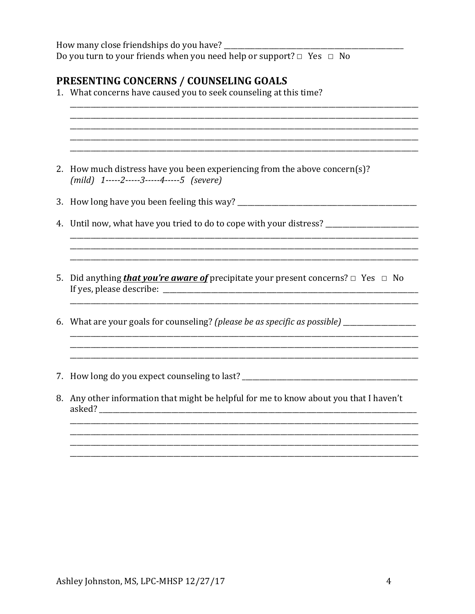How many close friendships do you have? Do you turn to your friends when you need help or support?  $\Box$  Yes  $\Box$  No

## PRESENTING CONCERNS / COUNSELING GOALS

1. What concerns have caused you to seek counseling at this time? 2. How much distress have you been experiencing from the above concern(s)?  $(mild)$  1-----2-----3-----4-----5 (severe) 4. Until now, what have you tried to do to cope with your distress? \_\_\_\_\_\_\_\_\_\_\_\_\_\_\_\_\_\_\_ <u> 1989 - Johann Barbara, martxa alemaniar argametra a contra a contra a contra a contra a contra a contra a co</u> 5. Did anything **that you're aware of** precipitate your present concerns?  $\Box$  Yes  $\Box$  No 6. What are your goals for counseling? (please be as specific as possible) \_\_\_\_\_\_\_\_\_\_\_\_\_\_\_\_\_\_\_\_\_\_\_\_ <u> 1989 - Johann John Stone, mars and deutscher Stone († 1989)</u> 7. How long do you expect counseling to last? 8. Any other information that might be helpful for me to know about you that I haven't